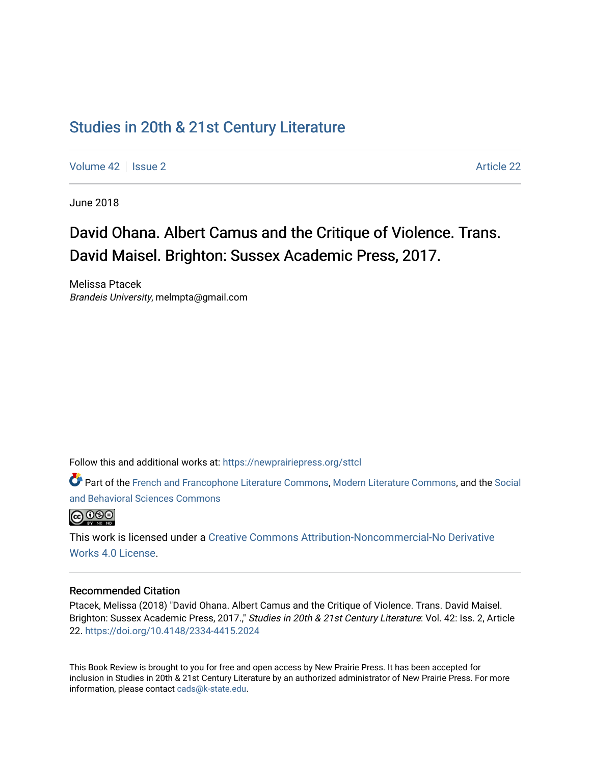## [Studies in 20th & 21st Century Literature](https://newprairiepress.org/sttcl)

[Volume 42](https://newprairiepress.org/sttcl/vol42) | [Issue 2](https://newprairiepress.org/sttcl/vol42/iss2) Article 22

June 2018

# David Ohana. Albert Camus and the Critique of Violence. Trans. David Maisel. Brighton: Sussex Academic Press, 2017.

Melissa Ptacek Brandeis University, melmpta@gmail.com

Follow this and additional works at: [https://newprairiepress.org/sttcl](https://newprairiepress.org/sttcl?utm_source=newprairiepress.org%2Fsttcl%2Fvol42%2Fiss2%2F22&utm_medium=PDF&utm_campaign=PDFCoverPages) 

Part of the [French and Francophone Literature Commons,](http://network.bepress.com/hgg/discipline/465?utm_source=newprairiepress.org%2Fsttcl%2Fvol42%2Fiss2%2F22&utm_medium=PDF&utm_campaign=PDFCoverPages) [Modern Literature Commons,](http://network.bepress.com/hgg/discipline/1050?utm_source=newprairiepress.org%2Fsttcl%2Fvol42%2Fiss2%2F22&utm_medium=PDF&utm_campaign=PDFCoverPages) and the [Social](http://network.bepress.com/hgg/discipline/316?utm_source=newprairiepress.org%2Fsttcl%2Fvol42%2Fiss2%2F22&utm_medium=PDF&utm_campaign=PDFCoverPages)  [and Behavioral Sciences Commons](http://network.bepress.com/hgg/discipline/316?utm_source=newprairiepress.org%2Fsttcl%2Fvol42%2Fiss2%2F22&utm_medium=PDF&utm_campaign=PDFCoverPages) 



This work is licensed under a [Creative Commons Attribution-Noncommercial-No Derivative](https://creativecommons.org/licenses/by-nc-nd/4.0/)  [Works 4.0 License](https://creativecommons.org/licenses/by-nc-nd/4.0/).

#### Recommended Citation

Ptacek, Melissa (2018) "David Ohana. Albert Camus and the Critique of Violence. Trans. David Maisel. Brighton: Sussex Academic Press, 2017.," Studies in 20th & 21st Century Literature: Vol. 42: Iss. 2, Article 22.<https://doi.org/10.4148/2334-4415.2024>

This Book Review is brought to you for free and open access by New Prairie Press. It has been accepted for inclusion in Studies in 20th & 21st Century Literature by an authorized administrator of New Prairie Press. For more information, please contact [cads@k-state.edu](mailto:cads@k-state.edu).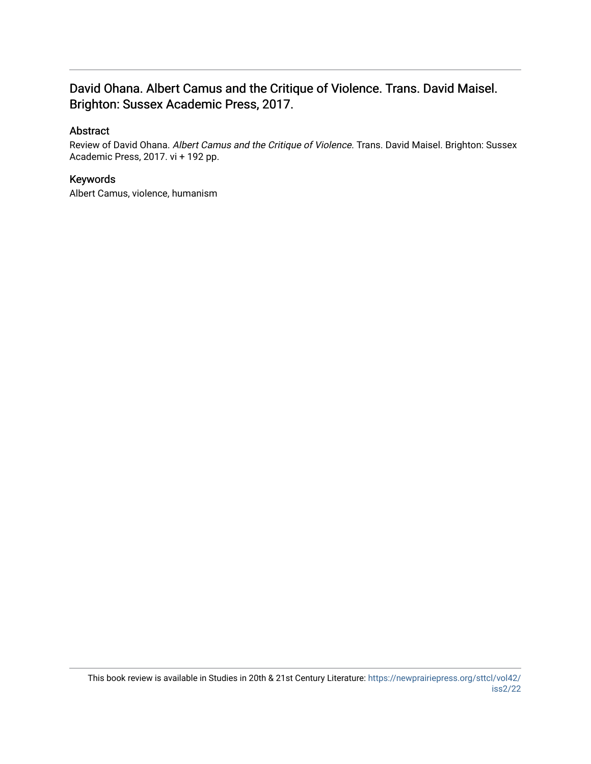### David Ohana. Albert Camus and the Critique of Violence. Trans. David Maisel. Brighton: Sussex Academic Press, 2017.

### Abstract

Review of David Ohana. Albert Camus and the Critique of Violence. Trans. David Maisel. Brighton: Sussex Academic Press, 2017. vi + 192 pp.

### Keywords

Albert Camus, violence, humanism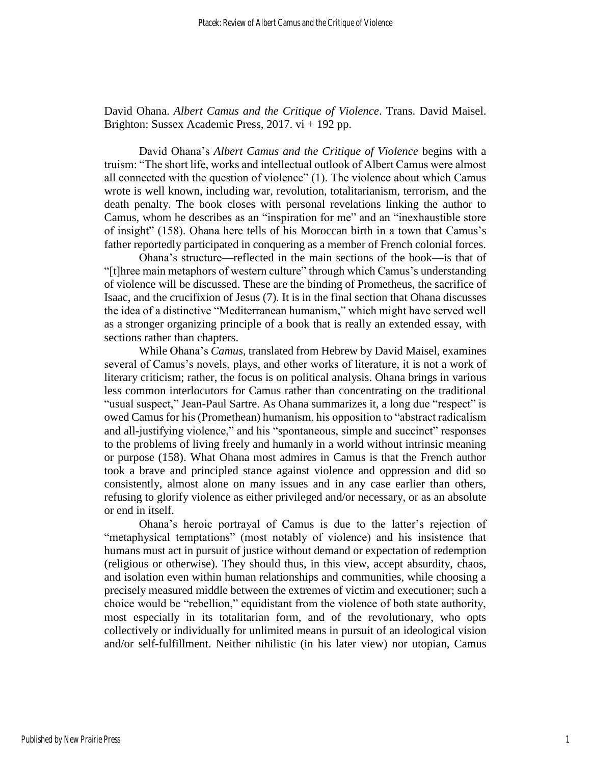David Ohana. *Albert Camus and the Critique of Violence*. Trans. David Maisel. Brighton: Sussex Academic Press, 2017. vi + 192 pp.

David Ohana's *Albert Camus and the Critique of Violence* begins with a truism: "The short life, works and intellectual outlook of Albert Camus were almost all connected with the question of violence" (1). The violence about which Camus wrote is well known, including war, revolution, totalitarianism, terrorism, and the death penalty. The book closes with personal revelations linking the author to Camus, whom he describes as an "inspiration for me" and an "inexhaustible store of insight" (158). Ohana here tells of his Moroccan birth in a town that Camus's father reportedly participated in conquering as a member of French colonial forces.

Ohana's structure—reflected in the main sections of the book—is that of "[t]hree main metaphors of western culture" through which Camus's understanding of violence will be discussed. These are the binding of Prometheus, the sacrifice of Isaac, and the crucifixion of Jesus (7). It is in the final section that Ohana discusses the idea of a distinctive "Mediterranean humanism," which might have served well as a stronger organizing principle of a book that is really an extended essay, with sections rather than chapters.

While Ohana's *Camus*, translated from Hebrew by David Maisel, examines several of Camus's novels, plays, and other works of literature, it is not a work of literary criticism; rather, the focus is on political analysis. Ohana brings in various less common interlocutors for Camus rather than concentrating on the traditional "usual suspect," Jean-Paul Sartre. As Ohana summarizes it, a long due "respect" is owed Camus for his (Promethean) humanism, his opposition to "abstract radicalism and all-justifying violence," and his "spontaneous, simple and succinct" responses to the problems of living freely and humanly in a world without intrinsic meaning or purpose (158). What Ohana most admires in Camus is that the French author took a brave and principled stance against violence and oppression and did so consistently, almost alone on many issues and in any case earlier than others, refusing to glorify violence as either privileged and/or necessary, or as an absolute or end in itself.

Ohana's heroic portrayal of Camus is due to the latter's rejection of "metaphysical temptations" (most notably of violence) and his insistence that humans must act in pursuit of justice without demand or expectation of redemption (religious or otherwise). They should thus, in this view, accept absurdity, chaos, and isolation even within human relationships and communities, while choosing a precisely measured middle between the extremes of victim and executioner; such a choice would be "rebellion," equidistant from the violence of both state authority, most especially in its totalitarian form, and of the revolutionary, who opts collectively or individually for unlimited means in pursuit of an ideological vision and/or self-fulfillment. Neither nihilistic (in his later view) nor utopian, Camus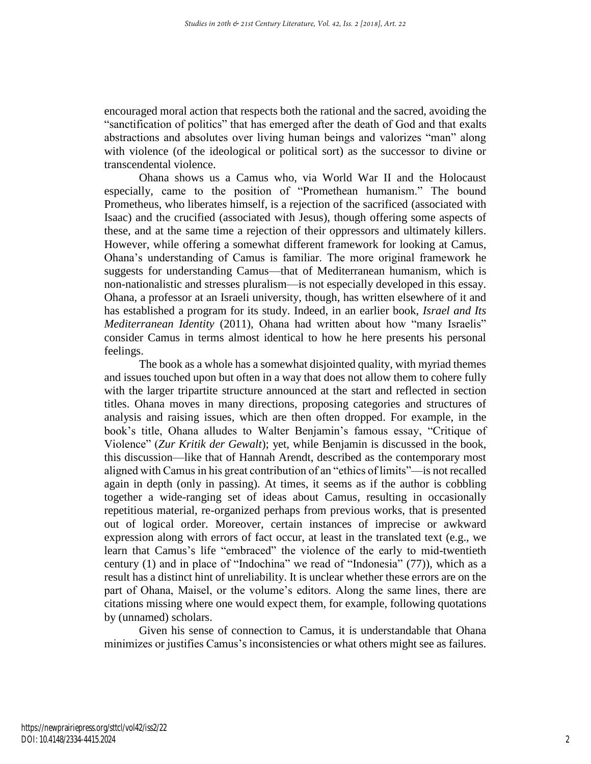encouraged moral action that respects both the rational and the sacred, avoiding the "sanctification of politics" that has emerged after the death of God and that exalts abstractions and absolutes over living human beings and valorizes "man" along with violence (of the ideological or political sort) as the successor to divine or transcendental violence.

Ohana shows us a Camus who, via World War II and the Holocaust especially, came to the position of "Promethean humanism." The bound Prometheus, who liberates himself, is a rejection of the sacrificed (associated with Isaac) and the crucified (associated with Jesus), though offering some aspects of these, and at the same time a rejection of their oppressors and ultimately killers. However, while offering a somewhat different framework for looking at Camus, Ohana's understanding of Camus is familiar. The more original framework he suggests for understanding Camus—that of Mediterranean humanism, which is non-nationalistic and stresses pluralism—is not especially developed in this essay. Ohana, a professor at an Israeli university, though, has written elsewhere of it and has established a program for its study. Indeed, in an earlier book, *Israel and Its Mediterranean Identity* (2011), Ohana had written about how "many Israelis" consider Camus in terms almost identical to how he here presents his personal feelings.

The book as a whole has a somewhat disjointed quality, with myriad themes and issues touched upon but often in a way that does not allow them to cohere fully with the larger tripartite structure announced at the start and reflected in section titles. Ohana moves in many directions, proposing categories and structures of analysis and raising issues, which are then often dropped. For example, in the book's title, Ohana alludes to Walter Benjamin's famous essay, "Critique of Violence" (*Zur Kritik der Gewalt*); yet, while Benjamin is discussed in the book, this discussion—like that of Hannah Arendt, described as the contemporary most aligned with Camus in his great contribution of an "ethics of limits"—is not recalled again in depth (only in passing). At times, it seems as if the author is cobbling together a wide-ranging set of ideas about Camus, resulting in occasionally repetitious material, re-organized perhaps from previous works, that is presented out of logical order. Moreover, certain instances of imprecise or awkward expression along with errors of fact occur, at least in the translated text (e.g., we learn that Camus's life "embraced" the violence of the early to mid-twentieth century (1) and in place of "Indochina" we read of "Indonesia" (77)), which as a result has a distinct hint of unreliability. It is unclear whether these errors are on the part of Ohana, Maisel, or the volume's editors. Along the same lines, there are citations missing where one would expect them, for example, following quotations by (unnamed) scholars.

Given his sense of connection to Camus, it is understandable that Ohana minimizes or justifies Camus's inconsistencies or what others might see as failures.